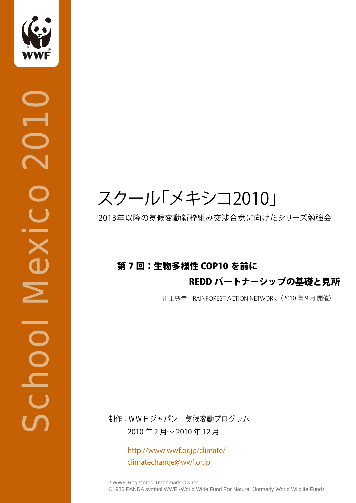

**OLOS** 

School Mexico 2010

**PODOC** 

Mexico

## スクール「メキシコ2010」

2013年以降の気候変動新枠組み交渉合意に向けたシリーズ勉強会

### 第 7 回:生物多様性 COP10 を前に

#### REDD パートナーシップの基礎と見所

川上豊幸 RAINFOREST ACTION NETWORK(2010 年 9 月 開催)

制作:WWFジャパン 気候変動プログラム 2010 年 2 月~ 2010 年 12 月

> http://www.wwf.or.jp/climate/ climatechange@wwf.or.jp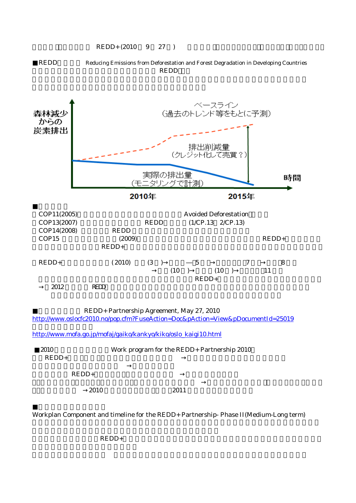

REDD Reducing Emissions from Deforestation and Forest Degradation in Developing Countries **REDD** 



2.結果に基づく支払:REDD+を支援する結果ベースインセンティブの実施や規模拡大のための暫定ガ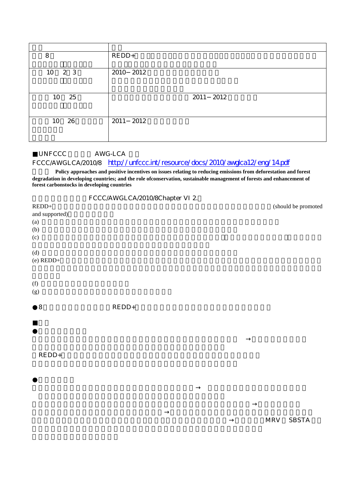| 8                 | $REDD+$   |
|-------------------|-----------|
| 10<br>$2 \quad 3$ | 2010 2012 |
| 25<br>10          | 2011 2012 |
| 26<br>10          | 2011 2012 |

#### UNFCCC AWG-LCA FCCC/AWGLCA/2010/8 http://unfccc.int/resource/docs/2010/awglca12/eng/14.pdf

Policy approaches and positive incentives on issues relating to reducing emissions from deforestation and forest **degradation in developing countries; and the role ofconservation, sustainable management of forests and enhancement of forest carbonstocks in developing countries**

#### FCCC/AWGLCA/2010/8Chapter VI 2.

| $REDD+$        |         | (should be promoted |
|----------------|---------|---------------------|
| and supported) |         |                     |
| (a)            |         |                     |
| (b)            |         |                     |
| (c)            |         |                     |
| (d)            |         |                     |
| $(e)$ REDD+    |         |                     |
|                |         |                     |
| (f)            |         |                     |
| (g)            |         |                     |
| $\,8\,$        | $REDD+$ |                     |
|                |         |                     |
|                |         |                     |
|                |         |                     |

 $REDD+$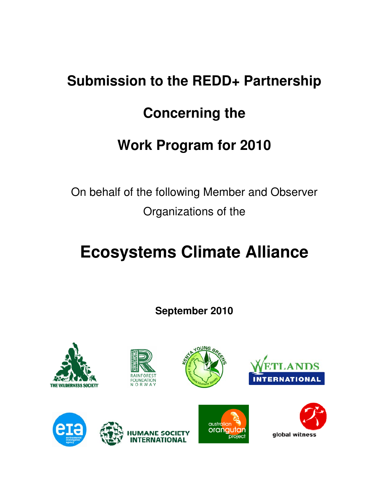# **Submission to the REDD+ Partnership Concerning the Work Program for 2010**

On behalf of the following Member and Observer Organizations of the

## **Ecosystems Climate Alliance**

**September 2010** 

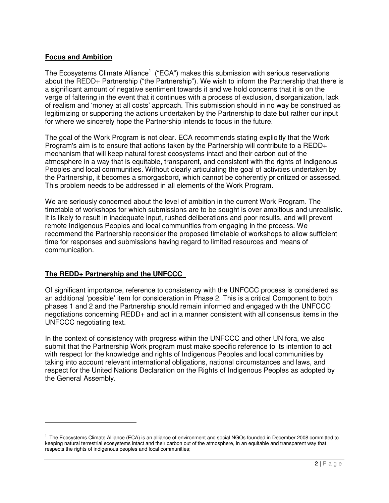#### **Focus and Ambition**

The Ecosystems Climate Alliance<sup>1</sup> ("ECA") makes this submission with serious reservations about the REDD+ Partnership ("the Partnership"). We wish to inform the Partnership that there is a significant amount of negative sentiment towards it and we hold concerns that it is on the verge of faltering in the event that it continues with a process of exclusion, disorganization, lack of realism and 'money at all costs' approach. This submission should in no way be construed as legitimizing or supporting the actions undertaken by the Partnership to date but rather our input for where we sincerely hope the Partnership intends to focus in the future.

The goal of the Work Program is not clear. ECA recommends stating explicitly that the Work Program's aim is to ensure that actions taken by the Partnership will contribute to a REDD+ mechanism that will keep natural forest ecosystems intact and their carbon out of the atmosphere in a way that is equitable, transparent, and consistent with the rights of Indigenous Peoples and local communities. Without clearly articulating the goal of activities undertaken by the Partnership, it becomes a smorgasbord, which cannot be coherently prioritized or assessed. This problem needs to be addressed in all elements of the Work Program.

We are seriously concerned about the level of ambition in the current Work Program. The timetable of workshops for which submissions are to be sought is over ambitious and unrealistic. It is likely to result in inadequate input, rushed deliberations and poor results, and will prevent remote Indigenous Peoples and local communities from engaging in the process. We recommend the Partnership reconsider the proposed timetable of workshops to allow sufficient time for responses and submissions having regard to limited resources and means of communication.

#### **The REDD+ Partnership and the UNFCCC**

 $\overline{a}$ 

Of significant importance, reference to consistency with the UNFCCC process is considered as an additional 'possible' item for consideration in Phase 2. This is a critical Component to both phases 1 and 2 and the Partnership should remain informed and engaged with the UNFCCC negotiations concerning REDD+ and act in a manner consistent with all consensus items in the UNFCCC negotiating text.

In the context of consistency with progress within the UNFCCC and other UN fora, we also submit that the Partnership Work program must make specific reference to its intention to act with respect for the knowledge and rights of Indigenous Peoples and local communities by taking into account relevant international obligations, national circumstances and laws, and respect for the United Nations Declaration on the Rights of Indigenous Peoples as adopted by the General Assembly.

<sup>&</sup>lt;sup>1</sup> The Ecosystems Climate Alliance (ECA) is an alliance of environment and social NGOs founded in December 2008 committed to keeping natural terrestrial ecosystems intact and their carbon out of the atmosphere, in an equitable and transparent way that respects the rights of indigenous peoples and local communities;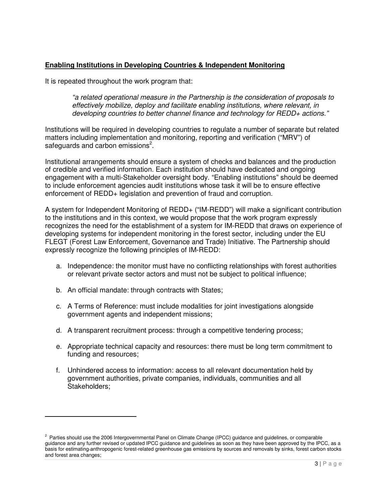#### **Enabling Institutions in Developing Countries & Independent Monitoring**

It is repeated throughout the work program that:

"a related operational measure in the Partnership is the consideration of proposals to effectively mobilize, deploy and facilitate enabling institutions, where relevant, in developing countries to better channel finance and technology for REDD+ actions."

Institutions will be required in developing countries to regulate a number of separate but related matters including implementation and monitoring, reporting and verification ("MRV") of safeguards and carbon emissions<sup>2</sup>.

Institutional arrangements should ensure a system of checks and balances and the production of credible and verified information. Each institution should have dedicated and ongoing engagement with a multi-Stakeholder oversight body. "Enabling institutions" should be deemed to include enforcement agencies audit institutions whose task it will be to ensure effective enforcement of REDD+ legislation and prevention of fraud and corruption.

A system for Independent Monitoring of REDD+ ("IM-REDD") will make a significant contribution to the institutions and in this context, we would propose that the work program expressly recognizes the need for the establishment of a system for IM-REDD that draws on experience of developing systems for independent monitoring in the forest sector, including under the EU FLEGT (Forest Law Enforcement, Governance and Trade) Initiative. The Partnership should expressly recognize the following principles of IM-REDD:

- a. Independence: the monitor must have no conflicting relationships with forest authorities or relevant private sector actors and must not be subject to political influence;
- b. An official mandate: through contracts with States;

 $\overline{a}$ 

- c. A Terms of Reference: must include modalities for joint investigations alongside government agents and independent missions;
- d. A transparent recruitment process: through a competitive tendering process;
- e. Appropriate technical capacity and resources: there must be long term commitment to funding and resources;
- f. Unhindered access to information: access to all relevant documentation held by government authorities, private companies, individuals, communities and all Stakeholders;

<sup>&</sup>lt;sup>2</sup> Parties should use the 2006 Intergovernmental Panel on Climate Change (IPCC) guidance and guidelines, or comparable guidance and any further revised or updated IPCC guidance and guidelines as soon as they have been approved by the IPCC, as a basis for estimating anthropogenic forest-related greenhouse gas emissions by sources and removals by sinks, forest carbon stocks and forest area changes;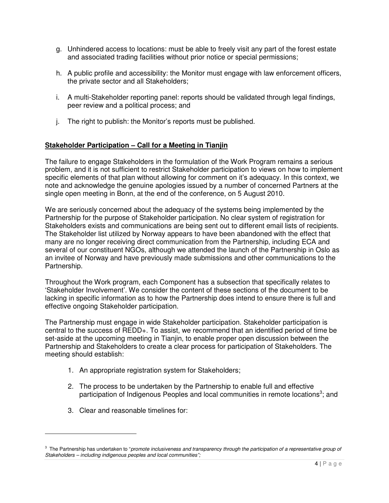- g. Unhindered access to locations: must be able to freely visit any part of the forest estate and associated trading facilities without prior notice or special permissions;
- h. A public profile and accessibility: the Monitor must engage with law enforcement officers, the private sector and all Stakeholders;
- i. A multi-Stakeholder reporting panel: reports should be validated through legal findings, peer review and a political process; and
- j. The right to publish: the Monitor's reports must be published.

#### **Stakeholder Participation – Call for a Meeting in Tianjin**

The failure to engage Stakeholders in the formulation of the Work Program remains a serious problem, and it is not sufficient to restrict Stakeholder participation to views on how to implement specific elements of that plan without allowing for comment on it's adequacy. In this context, we note and acknowledge the genuine apologies issued by a number of concerned Partners at the single open meeting in Bonn, at the end of the conference, on 5 August 2010.

We are seriously concerned about the adequacy of the systems being implemented by the Partnership for the purpose of Stakeholder participation. No clear system of registration for Stakeholders exists and communications are being sent out to different email lists of recipients. The Stakeholder list utilized by Norway appears to have been abandoned with the effect that many are no longer receiving direct communication from the Partnership, including ECA and several of our constituent NGOs, although we attended the launch of the Partnership in Oslo as an invitee of Norway and have previously made submissions and other communications to the Partnership.

Throughout the Work program, each Component has a subsection that specifically relates to 'Stakeholder Involvement'. We consider the content of these sections of the document to be lacking in specific information as to how the Partnership does intend to ensure there is full and effective ongoing Stakeholder participation.

The Partnership must engage in wide Stakeholder participation. Stakeholder participation is central to the success of REDD+. To assist, we recommend that an identified period of time be set-aside at the upcoming meeting in Tianjin, to enable proper open discussion between the Partnership and Stakeholders to create a clear process for participation of Stakeholders. The meeting should establish:

- 1. An appropriate registration system for Stakeholders;
- 2. The process to be undertaken by the Partnership to enable full and effective participation of Indigenous Peoples and local communities in remote locations<sup>3</sup>; and
- 3. Clear and reasonable timelines for:

 $\overline{a}$ 

 $3$  The Partnership has undertaken to "promote inclusiveness and transparency through the participation of a representative group of Stakeholders – including indigenous peoples and local communities";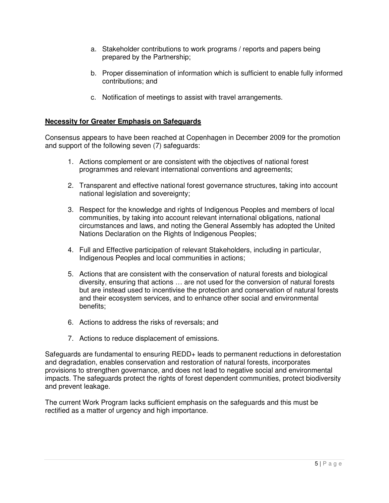- a. Stakeholder contributions to work programs / reports and papers being prepared by the Partnership;
- b. Proper dissemination of information which is sufficient to enable fully informed contributions; and
- c. Notification of meetings to assist with travel arrangements.

#### **Necessity for Greater Emphasis on Safeguards**

Consensus appears to have been reached at Copenhagen in December 2009 for the promotion and support of the following seven (7) safeguards:

- 1. Actions complement or are consistent with the objectives of national forest programmes and relevant international conventions and agreements;
- 2. Transparent and effective national forest governance structures, taking into account national legislation and sovereignty;
- 3. Respect for the knowledge and rights of Indigenous Peoples and members of local communities, by taking into account relevant international obligations, national circumstances and laws, and noting the General Assembly has adopted the United Nations Declaration on the Rights of Indigenous Peoples;
- 4. Full and Effective participation of relevant Stakeholders, including in particular, Indigenous Peoples and local communities in actions;
- 5. Actions that are consistent with the conservation of natural forests and biological diversity, ensuring that actions … are not used for the conversion of natural forests but are instead used to incentivise the protection and conservation of natural forests and their ecosystem services, and to enhance other social and environmental benefits;
- 6. Actions to address the risks of reversals; and
- 7. Actions to reduce displacement of emissions.

Safeguards are fundamental to ensuring REDD+ leads to permanent reductions in deforestation and degradation, enables conservation and restoration of natural forests, incorporates provisions to strengthen governance, and does not lead to negative social and environmental impacts. The safeguards protect the rights of forest dependent communities, protect biodiversity and prevent leakage.

The current Work Program lacks sufficient emphasis on the safeguards and this must be rectified as a matter of urgency and high importance.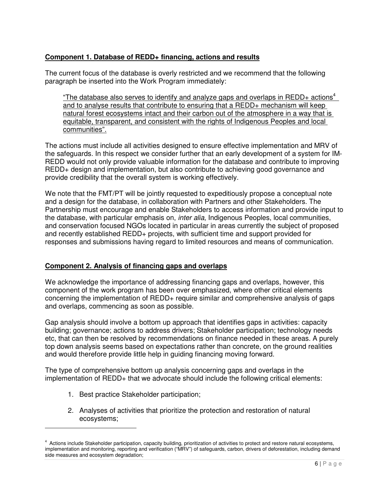#### **Component 1. Database of REDD+ financing, actions and results**

The current focus of the database is overly restricted and we recommend that the following paragraph be inserted into the Work Program immediately:

"The database also serves to identify and analyze gaps and overlaps in REDD+ actions<sup>4</sup> and to analyse results that contribute to ensuring that a REDD+ mechanism will keep natural forest ecosystems intact and their carbon out of the atmosphere in a way that is equitable, transparent, and consistent with the rights of Indigenous Peoples and local communities".

The actions must include all activities designed to ensure effective implementation and MRV of the safeguards. In this respect we consider further that an early development of a system for IM-REDD would not only provide valuable information for the database and contribute to improving REDD+ design and implementation, but also contribute to achieving good governance and provide credibility that the overall system is working effectively.

We note that the FMT/PT will be jointly requested to expeditiously propose a conceptual note and a design for the database, in collaboration with Partners and other Stakeholders. The Partnership must encourage and enable Stakeholders to access information and provide input to the database, with particular emphasis on, inter alia, Indigenous Peoples, local communities, and conservation focused NGOs located in particular in areas currently the subject of proposed and recently established REDD+ projects, with sufficient time and support provided for responses and submissions having regard to limited resources and means of communication.

#### **Component 2. Analysis of financing gaps and overlaps**

We acknowledge the importance of addressing financing gaps and overlaps, however, this component of the work program has been over emphasized, where other critical elements concerning the implementation of REDD+ require similar and comprehensive analysis of gaps and overlaps, commencing as soon as possible.

Gap analysis should involve a bottom up approach that identifies gaps in activities: capacity building; governance; actions to address drivers; Stakeholder participation; technology needs etc, that can then be resolved by recommendations on finance needed in these areas. A purely top down analysis seems based on expectations rather than concrete, on the ground realities and would therefore provide little help in guiding financing moving forward.

The type of comprehensive bottom up analysis concerning gaps and overlaps in the implementation of REDD+ that we advocate should include the following critical elements:

1. Best practice Stakeholder participation;

l.

2. Analyses of activities that prioritize the protection and restoration of natural ecosystems;

<sup>&</sup>lt;sup>4</sup> Actions include Stakeholder participation, capacity building, prioritization of activities to protect and restore natural ecosystems, implementation and monitoring, reporting and verification ("MRV") of safeguards, carbon, drivers of deforestation, including demand side measures and ecosystem degradation;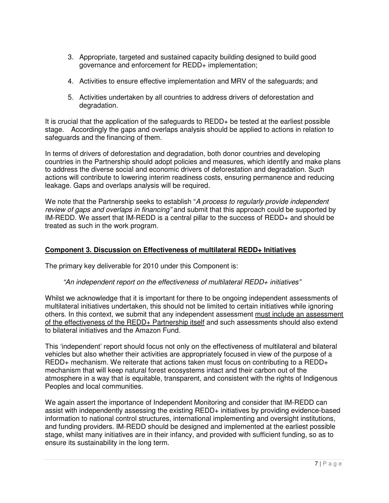- 3. Appropriate, targeted and sustained capacity building designed to build good governance and enforcement for REDD+ implementation;
- 4. Activities to ensure effective implementation and MRV of the safeguards; and
- 5. Activities undertaken by all countries to address drivers of deforestation and degradation.

It is crucial that the application of the safeguards to REDD+ be tested at the earliest possible stage. Accordingly the gaps and overlaps analysis should be applied to actions in relation to safeguards and the financing of them.

In terms of drivers of deforestation and degradation, both donor countries and developing countries in the Partnership should adopt policies and measures, which identify and make plans to address the diverse social and economic drivers of deforestation and degradation. Such actions will contribute to lowering interim readiness costs, ensuring permanence and reducing leakage. Gaps and overlaps analysis will be required.

We note that the Partnership seeks to establish "A process to regularly provide independent review of gaps and overlaps in financing" and submit that this approach could be supported by IM-REDD. We assert that IM-REDD is a central pillar to the success of REDD+ and should be treated as such in the work program.

#### **Component 3. Discussion on Effectiveness of multilateral REDD+ Initiatives**

The primary key deliverable for 2010 under this Component is:

#### "An independent report on the effectiveness of multilateral REDD+ initiatives"

Whilst we acknowledge that it is important for there to be ongoing independent assessments of multilateral initiatives undertaken, this should not be limited to certain initiatives while ignoring others. In this context, we submit that any independent assessment must include an assessment of the effectiveness of the REDD+ Partnership itself and such assessments should also extend to bilateral initiatives and the Amazon Fund.

This 'independent' report should focus not only on the effectiveness of multilateral and bilateral vehicles but also whether their activities are appropriately focused in view of the purpose of a REDD+ mechanism. We reiterate that actions taken must focus on contributing to a REDD+ mechanism that will keep natural forest ecosystems intact and their carbon out of the atmosphere in a way that is equitable, transparent, and consistent with the rights of Indigenous Peoples and local communities.

We again assert the importance of Independent Monitoring and consider that IM-REDD can assist with independently assessing the existing REDD+ initiatives by providing evidence-based information to national control structures, international implementing and oversight institutions, and funding providers. IM-REDD should be designed and implemented at the earliest possible stage, whilst many initiatives are in their infancy, and provided with sufficient funding, so as to ensure its sustainability in the long term.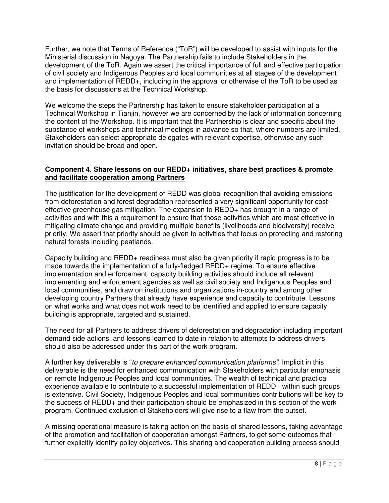Further, we note that Terms of Reference ("ToR") will be developed to assist with inputs for the Ministerial discussion in Nagoya. The Partnership fails to include Stakeholders in the development of the ToR. Again we assert the critical importance of full and effective participation of civil society and Indigenous Peoples and local communities at all stages of the development and implementation of REDD+, including in the approval or otherwise of the ToR to be used as the basis for discussions at the Technical Workshop.

We welcome the steps the Partnership has taken to ensure stakeholder participation at a Technical Workshop in Tianjin, however we are concerned by the lack of information concerning the content of the Workshop. It is important that the Partnership is clear and specific about the substance of workshops and technical meetings in advance so that, where numbers are limited, Stakeholders can select appropriate delegates with relevant expertise, otherwise any such invitation should be broad and open.

#### **Component 4. Share lessons on our REDD+ initiatives, share best practices & promote and facilitate cooperation among Partners**

The justification for the development of REDD was global recognition that avoiding emissions from deforestation and forest degradation represented a very significant opportunity for costeffective greenhouse gas mitigation. The expansion to REDD+ has brought in a range of activities and with this a requirement to ensure that those activities which are most effective in mitigating climate change and providing multiple benefits (livelihoods and biodiversity) receive priority. We assert that priority should be given to activities that focus on protecting and restoring natural forests including peatlands.

Capacity building and REDD+ readiness must also be given priority if rapid progress is to be made towards the implementation of a fully-fledged REDD+ regime. To ensure effective implementation and enforcement, capacity building activities should include all relevant implementing and enforcement agencies as well as civil society and Indigenous Peoples and local communities, and draw on institutions and organizations in-country and among other developing country Partners that already have experience and capacity to contribute. Lessons on what works and what does not work need to be identified and applied to ensure capacity building is appropriate, targeted and sustained.

The need for all Partners to address drivers of deforestation and degradation including important demand side actions, and lessons learned to date in relation to attempts to address drivers should also be addressed under this part of the work program.

A further key deliverable is "to prepare enhanced communication platforms". Implicit in this deliverable is the need for enhanced communication with Stakeholders with particular emphasis on remote Indigenous Peoples and local communities. The wealth of technical and practical experience available to contribute to a successful implementation of REDD+ within such groups is extensive. Civil Society, Indigenous Peoples and local communities contributions will be key to the success of REDD+ and their participation should be emphasized in this section of the work program. Continued exclusion of Stakeholders will give rise to a flaw from the outset.

A missing operational measure is taking action on the basis of shared lessons, taking advantage of the promotion and facilitation of cooperation amongst Partners, to get some outcomes that further explicitly identify policy objectives. This sharing and cooperation building process should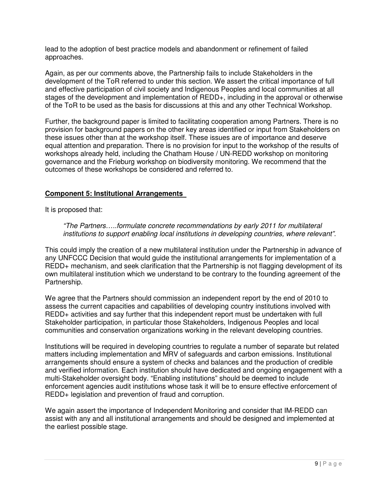lead to the adoption of best practice models and abandonment or refinement of failed approaches.

Again, as per our comments above, the Partnership fails to include Stakeholders in the development of the ToR referred to under this section. We assert the critical importance of full and effective participation of civil society and Indigenous Peoples and local communities at all stages of the development and implementation of REDD+, including in the approval or otherwise of the ToR to be used as the basis for discussions at this and any other Technical Workshop.

Further, the background paper is limited to facilitating cooperation among Partners. There is no provision for background papers on the other key areas identified or input from Stakeholders on these issues other than at the workshop itself. These issues are of importance and deserve equal attention and preparation. There is no provision for input to the workshop of the results of workshops already held, including the Chatham House / UN-REDD workshop on monitoring governance and the Frieburg workshop on biodiversity monitoring. We recommend that the outcomes of these workshops be considered and referred to.

#### **Component 5: Institutional Arrangements**

It is proposed that:

"The Partners…..formulate concrete recommendations by early 2011 for multilateral institutions to support enabling local institutions in developing countries, where relevant".

This could imply the creation of a new multilateral institution under the Partnership in advance of any UNFCCC Decision that would guide the institutional arrangements for implementation of a REDD+ mechanism, and seek clarification that the Partnership is not flagging development of its own multilateral institution which we understand to be contrary to the founding agreement of the Partnership.

We agree that the Partners should commission an independent report by the end of 2010 to assess the current capacities and capabilities of developing country institutions involved with REDD+ activities and say further that this independent report must be undertaken with full Stakeholder participation, in particular those Stakeholders, Indigenous Peoples and local communities and conservation organizations working in the relevant developing countries.

Institutions will be required in developing countries to regulate a number of separate but related matters including implementation and MRV of safeguards and carbon emissions. Institutional arrangements should ensure a system of checks and balances and the production of credible and verified information. Each institution should have dedicated and ongoing engagement with a multi-Stakeholder oversight body. "Enabling institutions" should be deemed to include enforcement agencies audit institutions whose task it will be to ensure effective enforcement of REDD+ legislation and prevention of fraud and corruption.

We again assert the importance of Independent Monitoring and consider that IM-REDD can assist with any and all institutional arrangements and should be designed and implemented at the earliest possible stage.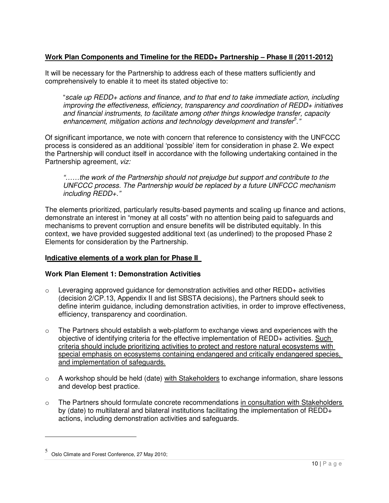#### **Work Plan Components and Timeline for the REDD+ Partnership – Phase II (2011-2012)**

It will be necessary for the Partnership to address each of these matters sufficiently and comprehensively to enable it to meet its stated objective to:

"scale up REDD+ actions and finance, and to that end to take immediate action, including improving the effectiveness, efficiency, transparency and coordination of REDD+ initiatives and financial instruments, to facilitate among other things knowledge transfer, capacity enhancement, mitigation actions and technology development and transfer<sup>5</sup>."

Of significant importance, we note with concern that reference to consistency with the UNFCCC process is considered as an additional 'possible' item for consideration in phase 2. We expect the Partnership will conduct itself in accordance with the following undertaking contained in the Partnership agreement, viz:

"……the work of the Partnership should not prejudge but support and contribute to the UNFCCC process. The Partnership would be replaced by a future UNFCCC mechanism including REDD+."

The elements prioritized, particularly results-based payments and scaling up finance and actions, demonstrate an interest in "money at all costs" with no attention being paid to safeguards and mechanisms to prevent corruption and ensure benefits will be distributed equitably. In this context, we have provided suggested additional text (as underlined) to the proposed Phase 2 Elements for consideration by the Partnership.

#### **Indicative elements of a work plan for Phase II**

#### **Work Plan Element 1: Demonstration Activities**

- $\circ$  Leveraging approved guidance for demonstration activities and other REDD+ activities (decision 2/CP.13, Appendix II and list SBSTA decisions), the Partners should seek to define interim guidance, including demonstration activities, in order to improve effectiveness, efficiency, transparency and coordination.
- $\circ$  The Partners should establish a web-platform to exchange views and experiences with the objective of identifying criteria for the effective implementation of REDD+ activities. Such criteria should include prioritizing activities to protect and restore natural ecosystems with special emphasis on ecosystems containing endangered and critically endangered species, and implementation of safeguards.
- $\circ$  A workshop should be held (date) with Stakeholders to exchange information, share lessons and develop best practice.
- $\circ$  The Partners should formulate concrete recommendations in consultation with Stakeholders by (date) to multilateral and bilateral institutions facilitating the implementation of REDD+ actions, including demonstration activities and safeguards.

 $\overline{a}$ 

<sup>5</sup> Oslo Climate and Forest Conference, 27 May 2010;